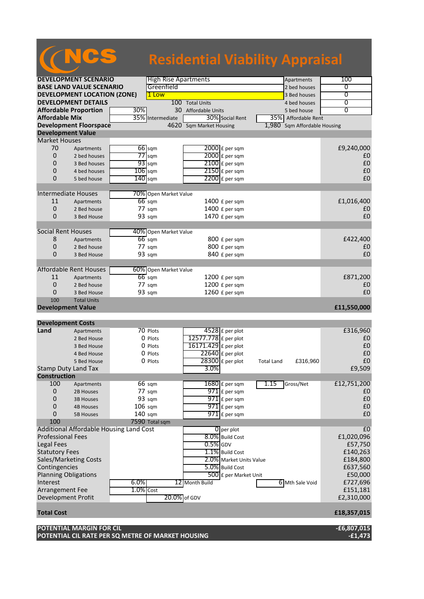# NCS **Residential Viability Appraisal**

| <b>DEVELOPMENT SCENARIO</b>                  |                                         |              | <b>High Rise Apartments</b> |                                            | Apartments                    | 100            |
|----------------------------------------------|-----------------------------------------|--------------|-----------------------------|--------------------------------------------|-------------------------------|----------------|
| <b>BASE LAND VALUE SCENARIO</b>              |                                         |              | Greenfield                  |                                            | 2 bed houses                  | 0              |
| <b>DEVELOPMENT LOCATION (ZONE)</b>           |                                         |              | 1 Low                       |                                            | 3 Bed houses                  | $\overline{0}$ |
| <b>DEVELOPMENT DETAILS</b>                   |                                         |              |                             | 100 Total Units                            | 4 bed houses                  | 0              |
| <b>Affordable Proportion</b><br>30%          |                                         |              |                             | 30 Affordable Units                        | 5 bed house                   | $\overline{0}$ |
| <b>Affordable Mix</b>                        |                                         |              | 35% Intermediate            | 30% Social Rent                            | 35% Affordable Rent           |                |
|                                              | <b>Development Floorspace</b>           |              |                             | 4620 Sqm Market Housing                    | 1,980 Sqm Affordable Housing  |                |
| <b>Development Value</b>                     |                                         |              |                             |                                            |                               |                |
| <b>Market Houses</b>                         |                                         |              |                             |                                            |                               |                |
| 70                                           | Apartments                              |              | $66$ sqm                    | $2000$ £ per sqm                           |                               | £9,240,000     |
| 0                                            | 2 bed houses                            |              | $77$ sqm                    | 2000 £ per sqm                             |                               | £0             |
| 0                                            |                                         |              | $93$ sqm                    |                                            |                               | £0             |
|                                              | 3 Bed houses                            |              |                             | $2100$ £ per sqm                           |                               |                |
| $\mathbf 0$                                  | 4 bed houses                            | $106$ sqm    |                             | $2150$ £ per sqm                           |                               | £0             |
| 0                                            | 5 bed house                             | $140$ sqm    |                             | $2200$ £ per sqm                           |                               | £0             |
|                                              |                                         |              |                             |                                            |                               |                |
| Intermediate Houses                          |                                         |              | 70% Open Market Value       |                                            |                               |                |
| 11                                           | Apartments                              |              | $66$ sqm                    | 1400 $E$ per sqm                           |                               | £1,016,400     |
| $\mathbf 0$                                  | 2 Bed house                             |              | $77 \text{ sqm}$            | 1400 £ per sqm                             |                               | £0             |
| 0                                            | 3 Bed House                             |              | 93 sqm                      | 1470 £ per sqm                             |                               | £0             |
|                                              |                                         |              |                             |                                            |                               |                |
| <b>Social Rent Houses</b>                    |                                         |              | 40% Open Market Value       |                                            |                               |                |
| 8                                            | Apartments                              |              | $66$ sqm                    | 800 £ per sqm                              |                               | £422,400       |
| 0                                            | 2 Bed house                             |              | $77 \text{ sqm}$            | 800 £ per sqm                              |                               | £0             |
| 0                                            | 3 Bed House                             |              | 93 sqm                      | 840 £ per sqm                              |                               | £0             |
|                                              |                                         |              |                             |                                            |                               |                |
|                                              | <b>Affordable Rent Houses</b>           |              | 60% Open Market Value       |                                            |                               |                |
| 11                                           | Apartments                              |              | $66$ sqm                    | 1200 £ per sqm                             |                               | £871,200       |
| 0                                            | 2 Bed house                             |              | 77 sqm                      | 1200 £ per sqm                             |                               | £0             |
| 0                                            | 3 Bed House                             |              | 93 sqm                      | 1260 £ per sqm                             |                               | £0             |
| 100                                          |                                         |              |                             |                                            |                               |                |
|                                              |                                         |              |                             |                                            |                               |                |
|                                              | <b>Total Units</b>                      |              |                             |                                            |                               |                |
| <b>Development Value</b>                     |                                         |              |                             |                                            |                               | £11,550,000    |
|                                              |                                         |              |                             |                                            |                               |                |
| <b>Development Costs</b>                     |                                         |              |                             |                                            |                               |                |
| Land                                         | Apartments                              |              | 70 Plots                    | 4528 £ per plot                            |                               | £316,960       |
|                                              | 2 Bed House                             |              | 0 Plots                     | 12577.778 £ per plot                       |                               | £0             |
|                                              | 3 Bed House                             |              | 0 Plots                     | 16171.429 £ per plot                       |                               | £0             |
|                                              | 4 Bed House                             |              | 0 Plots                     | $22640$ £ per plot                         |                               | £0             |
|                                              | 5 Bed House                             |              | 0 Plots                     | 28300 £ per plot                           | £316,960<br><b>Total Land</b> | £0             |
| <b>Stamp Duty Land Tax</b>                   |                                         |              |                             | 3.0%                                       |                               | £9,509         |
| <b>Construction</b>                          |                                         |              |                             |                                            |                               |                |
| 100                                          | Apartments                              |              | 66 sqm                      | $1680 \text{ f}$ per sqm                   | 1.15<br>Gross/Net             | £12,751,200    |
| 0                                            | 2B Houses                               |              | 77 sqm                      | 971 £ per sqm                              |                               | £0             |
| 0                                            | <b>3B Houses</b>                        |              | 93 sqm                      | $971$ $E$ per sqm                          |                               | £0             |
| 0                                            | <b>4B Houses</b>                        | $106$ sqm    |                             | $971$ £ per sqm                            |                               | £0             |
| 0                                            | <b>5B Houses</b>                        | 140 sqm      |                             | $971$ $E$ per sqm                          |                               | £0             |
| 100                                          |                                         |              | 7590 Total sqm              |                                            |                               |                |
|                                              | Additional Affordable Housing Land Cost |              |                             | $\overline{0}$ per plot                    |                               | £ <sub>0</sub> |
| <b>Professional Fees</b>                     |                                         |              |                             | 8.0% Build Cost                            |                               | £1,020,096     |
| <b>Legal Fees</b>                            |                                         |              |                             | $0.5\%$ GDV                                |                               | £57,750        |
|                                              |                                         |              |                             |                                            |                               | £140,263       |
| <b>Statutory Fees</b>                        | Sales/Marketing Costs                   |              |                             | 1.1% Build Cost<br>2.0% Market Units Value |                               | £184,800       |
|                                              |                                         |              |                             |                                            |                               | £637,560       |
| Contingencies<br><b>Planning Obligations</b> |                                         |              |                             | 5.0% Build Cost<br>500 £ per Market Unit   |                               | £50,000        |
| Interest                                     |                                         | 6.0%         |                             |                                            | 6 Mth Sale Void               |                |
|                                              |                                         |              |                             | 12 Month Build                             |                               | £727,696       |
| Arrangement Fee                              |                                         | $1.0\%$ Cost |                             |                                            |                               | £151,181       |
| Development Profit                           |                                         |              | 20.0% of GDV                |                                            |                               | £2,310,000     |
|                                              |                                         |              |                             |                                            |                               |                |
| <b>Total Cost</b>                            |                                         |              |                             |                                            |                               | £18,357,015    |

**POTENTIAL CIL RATE PER SQ METRE OF MARKET HOUSING -£1,473**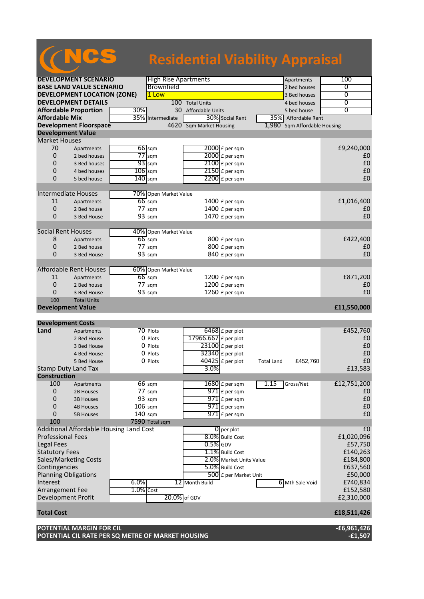# NCS **Residential Viability Appraisal**

| <b>DEVELOPMENT SCENARIO</b>         |                                                                               |                   | <b>High Rise Apartments</b> |                         |                                        |                   | Apartments                   | 100                        |
|-------------------------------------|-------------------------------------------------------------------------------|-------------------|-----------------------------|-------------------------|----------------------------------------|-------------------|------------------------------|----------------------------|
| <b>BASE LAND VALUE SCENARIO</b>     |                                                                               |                   | Brownfield                  |                         |                                        |                   | 2 bed houses                 | 0                          |
| <b>DEVELOPMENT LOCATION (ZONE)</b>  |                                                                               |                   | 1 Low                       |                         |                                        |                   | 3 Bed houses                 | $\overline{0}$             |
| <b>DEVELOPMENT DETAILS</b>          |                                                                               |                   | 100 Total Units             |                         |                                        | 4 bed houses      | 0                            |                            |
| <b>Affordable Proportion</b><br>30% |                                                                               |                   |                             | 30 Affordable Units     |                                        |                   | 5 bed house                  | $\overline{0}$             |
| <b>Affordable Mix</b>               |                                                                               |                   | 35% Intermediate            |                         | 30% Social Rent                        |                   | 35% Affordable Rent          |                            |
|                                     | <b>Development Floorspace</b>                                                 |                   |                             | 4620 Sqm Market Housing |                                        |                   | 1,980 Sqm Affordable Housing |                            |
| <b>Development Value</b>            |                                                                               |                   |                             |                         |                                        |                   |                              |                            |
| <b>Market Houses</b>                |                                                                               |                   |                             |                         |                                        |                   |                              |                            |
| 70                                  | Apartments                                                                    |                   | $66$ sqm                    |                         | $2000$ £ per sqm                       |                   |                              | £9,240,000                 |
| 0                                   | 2 bed houses                                                                  |                   | $77$ sqm                    |                         | 2000 £ per sqm                         |                   |                              | £0                         |
| 0                                   | 3 Bed houses                                                                  |                   | $93$ sqm                    |                         | $2100$ £ per sqm                       |                   |                              | £0                         |
| 0                                   | 4 bed houses                                                                  |                   | $106$ sqm                   |                         | $2150$ £ per sqm                       |                   |                              | £0                         |
| 0                                   | 5 bed house                                                                   | $140$ sqm         |                             |                         | $2200$ £ per sqm                       |                   |                              | £0                         |
|                                     |                                                                               |                   |                             |                         |                                        |                   |                              |                            |
| Intermediate Houses                 |                                                                               |                   | 70% Open Market Value       |                         |                                        |                   |                              |                            |
| 11                                  | Apartments                                                                    |                   | $66$ sqm                    |                         | 1400 $E$ per sqm                       |                   |                              | £1,016,400                 |
| 0                                   | 2 Bed house                                                                   |                   | $77 \text{ sqm}$            |                         | 1400 £ per sqm                         |                   |                              | £0                         |
| 0                                   | 3 Bed House                                                                   |                   | 93 sqm                      |                         | 1470 £ per sqm                         |                   |                              | £0                         |
|                                     |                                                                               |                   |                             |                         |                                        |                   |                              |                            |
| <b>Social Rent Houses</b>           |                                                                               |                   | 40% Open Market Value       |                         |                                        |                   |                              |                            |
| 8                                   | Apartments                                                                    |                   | $66 \text{ sqm}$            |                         | 800 £ per sqm                          |                   |                              | £422,400                   |
| 0                                   | 2 Bed house                                                                   |                   | $77 \text{ sqm}$            |                         | 800 £ per sqm                          |                   |                              | £0                         |
| 0                                   | 3 Bed House                                                                   |                   | 93 sqm                      |                         | 840 £ per sqm                          |                   |                              | £0                         |
|                                     |                                                                               |                   |                             |                         |                                        |                   |                              |                            |
|                                     | <b>Affordable Rent Houses</b>                                                 |                   | 60% Open Market Value       |                         |                                        |                   |                              |                            |
| 11                                  | Apartments                                                                    |                   | $66 \text{ sqm}$            |                         | $1200 f$ per sqm                       |                   |                              | £871,200                   |
| 0                                   | 2 Bed house                                                                   |                   | 77 sqm                      |                         | 1200 £ per sqm                         |                   |                              | £0                         |
| 0                                   | 3 Bed House                                                                   |                   | 93 sqm                      |                         | 1260 £ per sqm                         |                   |                              | £0                         |
| 100                                 | <b>Total Units</b>                                                            |                   |                             |                         |                                        |                   |                              |                            |
| <b>Development Value</b>            |                                                                               |                   |                             |                         |                                        |                   |                              | £11,550,000                |
|                                     |                                                                               |                   |                             |                         |                                        |                   |                              |                            |
| <b>Development Costs</b>            |                                                                               |                   |                             |                         |                                        |                   |                              |                            |
| Land                                | Apartments                                                                    |                   | 70 Plots                    |                         | $6468$ $E$ per plot                    |                   |                              | £452,760                   |
|                                     | 2 Bed House                                                                   |                   | 0 Plots                     | 17966.667 £ per plot    |                                        |                   |                              | £0                         |
|                                     | 3 Bed House                                                                   |                   | 0 Plots                     |                         | 23100 £ per plot                       |                   |                              | £0                         |
|                                     | 4 Bed House                                                                   |                   | 0 Plots                     |                         | 32340 £ per plot                       |                   |                              | £0                         |
|                                     | 5 Bed House                                                                   |                   | 0 Plots                     |                         | $40425$ £ per plot                     | <b>Total Land</b> | £452,760                     | £0                         |
|                                     | <b>Stamp Duty Land Tax</b>                                                    |                   |                             | 3.0%                    |                                        |                   |                              | £13,583                    |
| <b>Construction</b>                 |                                                                               |                   |                             |                         |                                        |                   |                              |                            |
| 100                                 |                                                                               |                   | 66 sqm                      |                         | $1680 \text{ f}$ per sqm               | 1.15              | Gross/Net                    | £12,751,200                |
| 0                                   | Apartments                                                                    |                   | 77 sqm                      |                         |                                        |                   |                              | £0                         |
|                                     | 2B Houses                                                                     |                   | 93 sqm                      |                         | $971$ $E$ per sqm<br>$971$ $E$ per sqm |                   |                              | £0                         |
| 0                                   | <b>3B Houses</b>                                                              |                   |                             |                         |                                        |                   |                              |                            |
| 0                                   | <b>4B Houses</b>                                                              | $106 \text{ sqm}$ |                             |                         | $971$ £ per sqm                        |                   |                              | £0<br>£0                   |
| 0                                   | <b>5B Houses</b>                                                              | 140 sqm           |                             |                         | $971$ £ per sqm                        |                   |                              |                            |
| 100                                 |                                                                               |                   | 7590 Total sqm              |                         |                                        |                   |                              |                            |
|                                     | Additional Affordable Housing Land Cost                                       |                   |                             |                         | $\overline{0}$ per plot                |                   |                              | £0                         |
| <b>Professional Fees</b>            |                                                                               |                   |                             |                         | 8.0% Build Cost                        |                   |                              | £1,020,096                 |
| <b>Legal Fees</b>                   |                                                                               |                   |                             | $0.5\%$ GDV             |                                        |                   |                              | £57,750                    |
| <b>Statutory Fees</b>               |                                                                               |                   |                             |                         | 1.1% Build Cost                        |                   |                              | £140,263                   |
|                                     | Sales/Marketing Costs                                                         |                   |                             |                         | 2.0% Market Units Value                |                   |                              | £184,800                   |
| Contingencies                       |                                                                               |                   |                             |                         | 5.0% Build Cost                        |                   |                              | £637,560                   |
| <b>Planning Obligations</b>         |                                                                               |                   |                             |                         | 500 £ per Market Unit                  |                   |                              | £50,000                    |
| Interest                            |                                                                               | 6.0%              |                             | 12 Month Build          |                                        |                   | 6 Mth Sale Void              | £740,834                   |
| Arrangement Fee                     |                                                                               | $1.0\%$ Cost      |                             |                         |                                        |                   |                              | £152,580                   |
| <b>Development Profit</b>           |                                                                               |                   | 20.0% of GDV                |                         |                                        |                   |                              | £2,310,000                 |
|                                     |                                                                               |                   |                             |                         |                                        |                   |                              |                            |
| <b>Total Cost</b>                   |                                                                               |                   |                             |                         |                                        |                   |                              | £18,511,426                |
|                                     |                                                                               |                   |                             |                         |                                        |                   |                              |                            |
|                                     | POTENTIAL MARGIN FOR CIL<br>POTENTIAL CIL RATE PER SQ METRE OF MARKET HOUSING |                   |                             |                         |                                        |                   |                              | $-£6,961,426$<br>$-£1,507$ |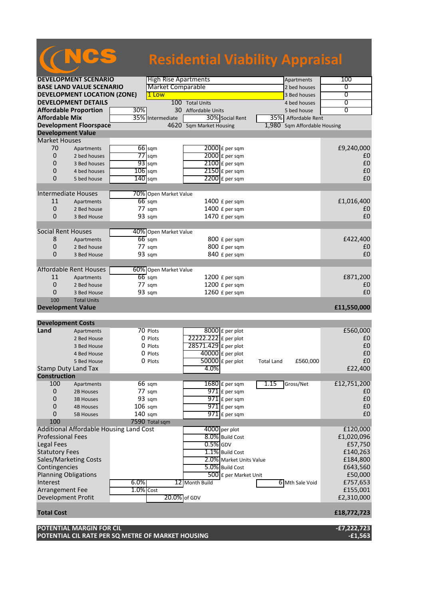## **DEVELOPMENT SCENARIO** High Rise Apartments Apartments Apartments 100 **BASE LAND VALUE SCENARIO** Market Comparable 2 bed houses 2 bed houses 0 **DEVELOPMENT LOCATION (ZONE)** 1 Low 3 Bed houses 0 **DEVELOPMENT DETAILS** 100 Total Units 4 bed houses 0<br> **Affordable Proportion** 30% 30 Affordable Units 5 bed house 0 **Affordable Proportion**<br> **Affordable Mix** 35% Intermediate 30% Social Rent 35% Affordable Rent 35% **Afformative and 30% Social Rent 35% Affordable Rent Development Floorspace 1,980 Sqm Market Housing 1,980 Sqm Affordable Housing Development Value** Market Houses<br>70 Apa  $70$  Apartments  $\overline{66}$  sqm  $\overline{2000}$  £ per sqm  $2000$   $2$  bed houses  $50$   $77$  sqm  $2000$   $2$  per sqm  $2000$   $6$  per sqm 2 bed houses  $\overline{77}$  sqm  $\overline{2000}$  £ per sqm 0 3 Bed houses  $\sqrt{33}$  sqm  $\sqrt{2100}$  £ per sqm  $\sqrt{2100}$  200 0 4 bed houses  $\frac{106}{140}$  sqm  $\frac{2150}{2200}$  £ per sqm  $\frac{2150}{200}$  E per sqm  $\frac{2150}{200}$  £ per sqm  $\frac{2150}{200}$  £ per sqm  $\frac{2150}{200}$  £ per sqm  $\frac{2150}{200}$  £ per sqm  $\frac{2150}{200}$  £ per sqm  $\frac{2150}{200$ 5 bed house  $\boxed{140}$ sqm  $\boxed{2200}$ £ per sqm Intermediate Houses 70% Open Market Value 11 Apartments **66** sqm 1400 £ per sqm **£1,016,400 NCS Residential Viability Appraisal**

0 2 Bed house 77 sqm 1400 £ per sqm £0

8 Apartments 66 sqm 800 £ per sqm  $\overline{66}$  sqm 800 £ per sqm  $\overline{6422,400}$  $0$  2 Bed house  $77$  sqm  $800$  £ per sqm  $10$ 0 3 Bed House 93 sqm 840 £ per sqm 50

3 Bed House 93 sqm 1470 £ per sqm

### 11 Apartments  $\overline{66}$  sqm  $\overline{1200}$  £ per sqm  $\overline{1200}$  £ per sqm  $\overline{1200}$  £ per sqm  $\overline{1200}$  £ per sqm  $\overline{1200}$  £ per sqm  $\overline{1200}$  £ per sqm  $\overline{1200}$  £ per sqm  $\overline{1200}$  £ per sqm  $\overline{1200}$  £ per 0 2 Bed house 77 sqm 1200 £ per sqm 50  $\pm$  2 Bed house 77 sqm  $\pm$  1200 £ per sqm  $\pm$  1260 £ per sqm  $\pm$  1260 £ per sqm  $\pm$  1260 £ per sqm  $\pm$  1260 £ per sqm  $\pm$  1260 £ per sqm  $\pm$  1260 £ per sqm  $\pm$  1260 £ per sqm 0 3 Bed House 93 sqm 1260 £ per sqm 50 1260 £ per sqm **Total Units**

Social Rent Houses **10%** Open Market Value<br>8 Apartments 66 sqm

Affordable Rent Houses 60% Open Market Value<br>11 Apartments 66 sqm

## **Development Value £11,550,000**

### **Development Costs Land** Apartments 70 Plots 8000 £ per plot **£560,000**<br>2 Bed House 0 Plots 222222.222 £ per plot **£0** 2 Bed House  $\begin{array}{c} 0 \text{ Plots} \\ 0 \text{ Plots} \end{array}$   $\begin{array}{c} 22222.222 \text{ f} \text{ per plot} \\ 28571.429 \text{ f} \text{ per plot} \end{array}$   $\begin{array}{c} 20 \text{ f} \text{ of } 2222.222 \text{ f} \text{ per plot} \\ 28571.429 \text{ f} \text{ per plot} \end{array}$ 3 Bed House  $\begin{array}{c} 0 \text{ Plots} \\ 0 \text{ Plots} \end{array}$   $\begin{array}{c} 28571.429 \text{ } \text{£} \text{ per plot} \\ 4 \text{ Bed House} \end{array}$   $\begin{array}{c} \text{E0} \\ \text{E1} \end{array}$  $\overline{40000}$  £ per plot 5 Bed House  $\begin{array}{|c|c|c|c|c|}\n\hline\n\text{50000} & \text{50000} & \text{50000} & \text{50000} \\
\hline\n\text{6000} & \text{50000} & \text{50000} & \text{50000} & \text{50000} \\
\hline\n\text{600} & \text{50000} & \text{50000} & \text{50000} & \text{50000} & \text{50000} \\
\hline\n\text{7500} & \text{50000} & \text{50000$ Stamp Duty Land Tax **Construction** Apartments 66 sqm 1680 £ per sqm 1.15 Gross/Net £12,751,200 0 2B Houses 77 sqm  $\sqrt{971}$  £ per sqm  $\sqrt{971}$  example  $\sqrt{971}$  £ 0 0 3B Houses 93 sqm  $\sqrt{971}$  £ per sqm  $\sqrt{971}$  external per sqm  $\sqrt{971}$  extending to  $\sqrt{971}$  extending to  $\sqrt{971}$  extending to  $\sqrt{971}$  extending to  $\sqrt{971}$  extending to  $\sqrt{971}$  extending to  $\sqrt{971}$  extendi 0 4B Houses 106 sqm  $\sqrt{971}$  £ per sqm  $\sqrt{971}$  external  $\sqrt{971}$  E per sqm  $\sqrt{21}$ 0 5B Houses 140 sqm  $\overline{971}$  £ per sqm  $\overline{971}$  per sqm  $\overline{971}$ 100 7590 Total sqm Additional Affordable Housing Land Cost  $\overline{1}$  4000 per plot  $\overline{2120,000}$ Professional Fees **8.0%** Build Cost **£1,020,096** Build Cost **£1,020,096** Legal Fees  $\begin{bmatrix} 0.5\% \end{bmatrix}$ GDV  $\begin{bmatrix} 0.5\% \end{bmatrix}$ GDV  $\begin{bmatrix} 0.5\% \end{bmatrix}$ CDV  $\begin{bmatrix} 0.5\% \end{bmatrix}$ CDV  $\begin{bmatrix} 0.5\% \end{bmatrix}$ CDV  $\begin{bmatrix} 0.5\% \end{bmatrix}$ CDV  $\begin{bmatrix} 0.5\% \end{bmatrix}$ CDV  $\begin{bmatrix} 0.5\% \end{bmatrix}$ CDV  $\begin{bmatrix} 0.5\% \end{bmatrix$ Statutory Fees 1.1% Build Cost £140,263 Sales/Marketing Costs **2.0%** Market Units Value **184,800**<br>Contingencies **2.0% Market Units Value** 2.0% Build Cost **2.0%** Build Cost **2.0% Build Cost** Contingencies **2.00%** Build Cost **2.00%** Build Cost Planning Obligations 650,000 Exercise 1 and 500 £ per Market Unit 650,000 Exercise 1 and 500 Exercise 1 and 500 E Interest **6.0%** 12 Month Build 6 Mth Sale Void £757,653<br>Arrangement Fee 1.0% Cost 6 Minutes 1.0% Cost 6155,001 Arrangement Fee  $\overline{1.0\% \cos t}$  E155,001 Development Profit **Total Cost £18,772,723**

| POTENTIAL MARGIN FOR CIL                          | E7.222.723- |
|---------------------------------------------------|-------------|
| POTENTIAL CIL RATE PER SQ METRE OF MARKET HOUSING | -£1,563     |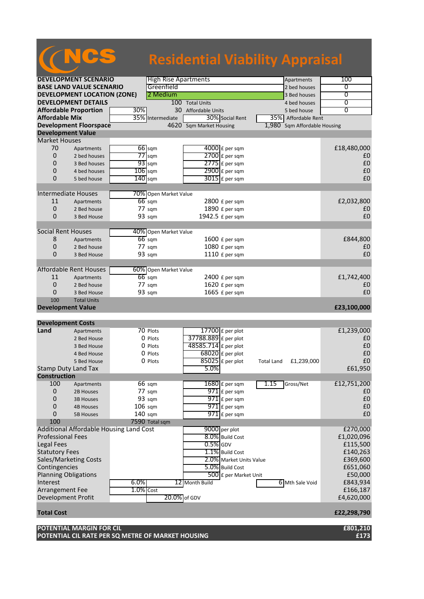|                             |                                         |              |                       | <b>Residential Viability Appraisal</b> |                                 |                |
|-----------------------------|-----------------------------------------|--------------|-----------------------|----------------------------------------|---------------------------------|----------------|
|                             |                                         |              |                       |                                        |                                 |                |
|                             | <b>DEVELOPMENT SCENARIO</b>             |              |                       | <b>High Rise Apartments</b>            | Apartments                      | 100            |
|                             | <b>BASE LAND VALUE SCENARIO</b>         |              | Greenfield            |                                        | 2 bed houses                    | 0              |
|                             | <b>DEVELOPMENT LOCATION (ZONE)</b>      |              | 2 Medium              |                                        | 3 Bed houses                    | 0              |
|                             | <b>DEVELOPMENT DETAILS</b>              |              |                       | 100 Total Units                        | 4 bed houses                    | 0              |
|                             | <b>Affordable Proportion</b>            | 30%          |                       | 30<br>Affordable Units                 | 5 bed house                     | $\overline{0}$ |
| <b>Affordable Mix</b>       |                                         |              | 35% Intermediate      | 30% Social Rent                        | 35% Affordable Rent             |                |
|                             | <b>Development Floorspace</b>           |              |                       | 4620 Sqm Market Housing                | 1,980<br>Sqm Affordable Housing |                |
| <b>Development Value</b>    |                                         |              |                       |                                        |                                 |                |
| <b>Market Houses</b>        |                                         |              |                       |                                        |                                 |                |
| 70                          | Apartments                              |              | $66$ sqm              | $4000$ £ per sqm                       |                                 | £18,480,000    |
| 0                           | 2 bed houses                            |              | $77$ sqm              | 2700 £ per sqm                         |                                 | £0             |
| 0                           | 3 Bed houses                            |              | $93$ sqm              | $2775$ $E$ per sqm                     |                                 | £0             |
| 0                           | 4 bed houses                            | $106$ sqm    |                       | 2900 £ per sqm                         |                                 | £0<br>£0       |
| $\Omega$                    | 5 bed house                             | $140$ sqm    |                       | $3015$ £ per sqm                       |                                 |                |
| <b>Intermediate Houses</b>  |                                         |              | 70% Open Market Value |                                        |                                 |                |
| 11                          | Apartments                              |              | $66$ sqm              | $2800$ £ per sqm                       |                                 | £2,032,800     |
| 0                           | 2 Bed house                             |              | $77 \text{ sqm}$      | 1890 £ per sqm                         |                                 | £0             |
| 0                           | 3 Bed House                             |              | 93 sqm                | 1942.5 £ per sqm                       |                                 | £0             |
|                             |                                         |              |                       |                                        |                                 |                |
| <b>Social Rent Houses</b>   |                                         |              | 40% Open Market Value |                                        |                                 |                |
| 8                           | Apartments                              |              | $66$ sqm              | 1600 £ per sqm                         |                                 | £844,800       |
| 0                           | 2 Bed house                             |              | 77 sqm                | 1080 £ per sqm                         |                                 | £0             |
| 0                           | 3 Bed House                             |              | 93 sqm                | 1110 £ per sqm                         |                                 | £0             |
|                             |                                         |              |                       |                                        |                                 |                |
|                             | <b>Affordable Rent Houses</b>           |              | 60% Open Market Value |                                        |                                 |                |
| 11                          | Apartments                              |              | $66$ sqm              | $2400$ £ per sqm                       |                                 | £1,742,400     |
| 0<br>0                      | 2 Bed house                             |              | $77 \text{ sqm}$      | 1620 £ per sqm                         |                                 | £0<br>£0       |
| 100                         | 3 Bed House<br><b>Total Units</b>       |              | 93 sqm                | 1665 £ per sqm                         |                                 |                |
| <b>Development Value</b>    |                                         |              |                       |                                        |                                 | £23,100,000    |
|                             |                                         |              |                       |                                        |                                 |                |
| <b>Development Costs</b>    |                                         |              |                       |                                        |                                 |                |
| Land                        | Apartments                              |              | 70 Plots              | 17700 £ per plot                       |                                 | £1,239,000     |
|                             | 2 Bed House                             |              | 0 Plots               | 37788.889 £ per plot                   |                                 | £0             |
|                             | 3 Bed House                             |              | 0 Plots               | 48585.714 £ per plot                   |                                 | £0             |
|                             | 4 Bed House                             |              | 0 Plots               | $68020$ £ per plot                     |                                 | £0             |
|                             | 5 Bed House                             |              | 0 Plots               | $\overline{85025}$ £ per plot          | £1,239,000<br><b>Total Land</b> | £0             |
| <b>Stamp Duty Land Tax</b>  |                                         |              |                       | 5.0%                                   |                                 | £61,950        |
| <b>Construction</b>         |                                         |              |                       |                                        |                                 |                |
| 100                         | Apartments                              |              | 66 sqm                | $1680$ £ per sqm                       | 1.15<br>Gross/Net               | £12,751,200    |
| $\mathbf 0$                 | 2B Houses                               |              | $77 \text{ sqm}$      | $971$ £ per sqm                        |                                 | £0             |
| 0                           | <b>3B Houses</b>                        |              | 93 sqm                | $971$ $E$ per sqm                      |                                 | £0             |
| $\mathbf 0$                 | <b>4B Houses</b>                        | 106 sqm      |                       | $971$ $E$ per sqm                      |                                 | £0             |
| 0                           | <b>5B Houses</b>                        | $140$ sqm    |                       | $971$ E per sqm                        |                                 | £0             |
| 100                         | Additional Affordable Housing Land Cost |              | 7590 Total sqm        | 9000 per plot                          |                                 | £270,000       |
| <b>Professional Fees</b>    |                                         |              |                       | 8.0% Build Cost                        |                                 | £1,020,096     |
| <b>Legal Fees</b>           |                                         |              |                       | $0.5\%$ GDV                            |                                 | £115,500       |
| <b>Statutory Fees</b>       |                                         |              |                       | 1.1% Build Cost                        |                                 | £140,263       |
|                             | Sales/Marketing Costs                   |              |                       | 2.0% Market Units Value                |                                 | £369,600       |
| Contingencies               |                                         |              |                       | 5.0% Build Cost                        |                                 | £651,060       |
| <b>Planning Obligations</b> |                                         |              |                       | 500 £ per Market Unit                  |                                 | £50,000        |
| Interest                    |                                         | 6.0%         |                       | 12 Month Build                         | 6 Mth Sale Void                 | £843,934       |
| Arrangement Fee             |                                         | $1.0\%$ Cost |                       |                                        |                                 | £166,187       |
| Development Profit          |                                         |              |                       | 20.0% of GDV                           |                                 | £4,620,000     |
|                             |                                         |              |                       |                                        |                                 |                |
| <b>Total Cost</b>           |                                         |              |                       |                                        |                                 | £22,298,790    |

**POTENTIAL MARGIN FOR CIL £801,210 POTENTIAL CIL RATE PER SQ METRE OF MARKET HOUSING £173**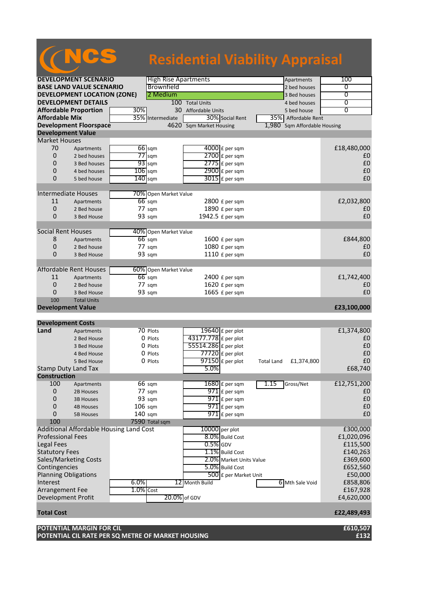|                                 |                                         |              |                                   | <b>Residential Viability Appraisal</b> |                         |                   |                        |                   |
|---------------------------------|-----------------------------------------|--------------|-----------------------------------|----------------------------------------|-------------------------|-------------------|------------------------|-------------------|
|                                 | <b>DEVELOPMENT SCENARIO</b>             |              | <b>High Rise Apartments</b>       |                                        |                         |                   | Apartments             | 100               |
|                                 | <b>BASE LAND VALUE SCENARIO</b>         |              | Brownfield                        |                                        |                         |                   | 2 bed houses           | 0                 |
|                                 | <b>DEVELOPMENT LOCATION (ZONE)</b>      |              | 2 Medium                          |                                        |                         |                   | 3 Bed houses           | $\overline{0}$    |
|                                 | <b>DEVELOPMENT DETAILS</b>              |              |                                   | 100 Total Units                        |                         |                   | 4 bed houses           | 0                 |
|                                 | <b>Affordable Proportion</b>            | 30%          |                                   | 30 Affordable Units                    |                         |                   | 5 bed house            | $\overline{0}$    |
| <b>Affordable Mix</b>           |                                         |              | 35% Intermediate                  |                                        | 30% Social Rent         |                   | 35% Affordable Rent    |                   |
|                                 |                                         |              |                                   |                                        |                         |                   |                        |                   |
|                                 | <b>Development Floorspace</b>           |              | $4620^-$                          | <b>Sqm Market Housing</b>              |                         | 1,980             | Sqm Affordable Housing |                   |
| <b>Development Value</b>        |                                         |              |                                   |                                        |                         |                   |                        |                   |
| <b>Market Houses</b>            |                                         |              |                                   |                                        |                         |                   |                        |                   |
| 70                              | Apartments                              |              | $66$ sqm                          |                                        | $4000$ £ per sqm        |                   |                        | £18,480,000       |
| 0                               | 2 bed houses                            |              | $77$ sqm                          |                                        | $2700$ £ per sqm        |                   |                        | £0                |
| 0                               | 3 Bed houses                            |              | $93$ sqm                          |                                        | $2775$ $E$ per sqm      |                   |                        | £0                |
| 0                               | 4 bed houses                            | $106$ sqm    |                                   |                                        | 2900 £ per sqm          |                   |                        | £0                |
| $\overline{0}$                  | 5 bed house                             | $140$ sqm    |                                   |                                        | $3015$ £ per sqm        |                   |                        | £0                |
|                                 |                                         |              |                                   |                                        |                         |                   |                        |                   |
| <b>Intermediate Houses</b>      |                                         |              | 70% Open Market Value             |                                        |                         |                   |                        |                   |
| 11                              | Apartments                              |              | $66 \text{ sqm}$                  |                                        | 2800 £ per sqm          |                   |                        | £2,032,800        |
| 0                               | 2 Bed house                             |              | 77 sqm                            |                                        | 1890 £ per sqm          |                   |                        | £0                |
| 0                               | 3 Bed House                             |              | 93 sqm                            |                                        | 1942.5 £ per sqm        |                   |                        | £0                |
|                                 |                                         |              |                                   |                                        |                         |                   |                        |                   |
| <b>Social Rent Houses</b>       |                                         |              | 40% Open Market Value             |                                        |                         |                   |                        |                   |
| 8                               | Apartments                              |              | $66$ sqm                          |                                        | 1600 £ per sqm          |                   |                        | £844,800          |
| 0                               | 2 Bed house                             |              | 77 sqm                            |                                        | 1080 £ per sqm          |                   |                        | £0                |
| 0                               | 3 Bed House                             |              | 93 sqm                            |                                        | 1110 £ per sqm          |                   |                        | £0                |
|                                 |                                         |              |                                   |                                        |                         |                   |                        |                   |
| 11                              | Affordable Rent Houses                  |              | 60% Open Market Value<br>$66$ sqm |                                        | $2400$ £ per sqm        |                   |                        | £1,742,400        |
|                                 | Apartments                              |              |                                   |                                        |                         |                   |                        |                   |
| 0                               | 2 Bed house                             |              | $77 \text{ sqm}$                  |                                        | 1620 £ per sqm          |                   |                        | £0<br>£0          |
| 0                               | 3 Bed House                             |              | 93 sqm                            |                                        | 1665 £ per sqm          |                   |                        |                   |
| 100<br><b>Development Value</b> | <b>Total Units</b>                      |              |                                   |                                        |                         |                   |                        | £23,100,000       |
|                                 |                                         |              |                                   |                                        |                         |                   |                        |                   |
| <b>Development Costs</b>        |                                         |              |                                   |                                        |                         |                   |                        |                   |
| Land                            | Apartments                              |              | 70 Plots                          |                                        | 19640 £ per plot        |                   |                        | £1,374,800        |
|                                 | 2 Bed House                             |              | 0 Plots                           | 43177.778 £ per plot                   |                         |                   |                        | £0                |
|                                 | 3 Bed House                             |              | 0 Plots                           | 55514.286 £ per plot                   |                         |                   |                        | £0                |
|                                 | 4 Bed House                             |              | 0 Plots                           |                                        | $77720$ £ per plot      |                   |                        | £0                |
|                                 | 5 Bed House                             |              | 0 Plots                           |                                        | $97150$ £ per plot      | <b>Total Land</b> | £1,374,800             | $\pmb{\text{f0}}$ |
|                                 | Stamp Duty Land Tax                     |              |                                   | 5.0%                                   |                         |                   |                        | £68,740           |
| <b>Construction</b>             |                                         |              |                                   |                                        |                         |                   |                        |                   |
| 100                             | Apartments                              |              | 66 sqm                            |                                        | $1680$ £ per sqm        | 1.15              | Gross/Net              | £12,751,200       |
| 0                               | 2B Houses                               |              | 77 sqm                            |                                        | $971$ $E$ per sqm       |                   |                        | £0                |
| 0                               | <b>3B Houses</b>                        |              | 93 sqm                            |                                        | $971$ $E$ per sqm       |                   |                        | £0                |
| 0                               | <b>4B Houses</b>                        | 106 sqm      |                                   |                                        | $971$ $E$ per sqm       |                   |                        | £0                |
| 0                               |                                         |              |                                   |                                        | $971$ E per sqm         |                   |                        | £0                |
|                                 | <b>5B Houses</b>                        | $140$ sqm    | 7590 Total sqm                    |                                        |                         |                   |                        |                   |
| 100                             | Additional Affordable Housing Land Cost |              |                                   | $10000$ per plot                       |                         |                   |                        | £300,000          |
| <b>Professional Fees</b>        |                                         |              |                                   |                                        | 8.0% Build Cost         |                   |                        |                   |
|                                 |                                         |              |                                   |                                        |                         |                   |                        | £1,020,096        |
| Legal Fees                      |                                         |              |                                   | $0.5\%$ GDV                            |                         |                   |                        | £115,500          |
| <b>Statutory Fees</b>           |                                         |              |                                   |                                        | 1.1% Build Cost         |                   |                        | £140,263          |
|                                 | Sales/Marketing Costs                   |              |                                   |                                        | 2.0% Market Units Value |                   |                        | £369,600          |
| Contingencies                   |                                         |              |                                   |                                        | 5.0% Build Cost         |                   |                        | £652,560          |
| <b>Planning Obligations</b>     |                                         |              |                                   |                                        | 500 £ per Market Unit   |                   |                        | £50,000           |
| Interest                        |                                         | 6.0%         |                                   | 12 Month Build                         |                         |                   | 6 Mth Sale Void        | £858,806          |
| Arrangement Fee                 |                                         | $1.0\%$ Cost |                                   |                                        |                         |                   |                        | £167,928          |
| Development Profit              |                                         |              | 20.0% of GDV                      |                                        |                         |                   |                        | £4,620,000        |
| <b>Total Cost</b>               |                                         |              |                                   |                                        |                         |                   |                        | £22,489,493       |

## **POTENTIAL MARGIN FOR CIL £610,507**

**POTENTIAL CIL RATE PER SQ METRE OF MARKET HOUSING £132**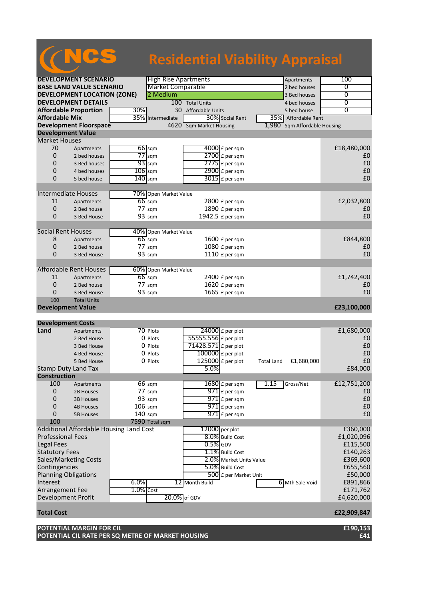|                             |                                    |                                         |                             | <b>Residential Viability Appraisal</b> |                         |                   |                        |                   |
|-----------------------------|------------------------------------|-----------------------------------------|-----------------------------|----------------------------------------|-------------------------|-------------------|------------------------|-------------------|
|                             |                                    |                                         |                             |                                        |                         |                   |                        |                   |
|                             | <b>DEVELOPMENT SCENARIO</b>        |                                         | <b>High Rise Apartments</b> |                                        |                         |                   | Apartments             | 100               |
|                             | <b>BASE LAND VALUE SCENARIO</b>    |                                         | <b>Market Comparable</b>    |                                        |                         |                   | 2 bed houses           | 0                 |
|                             | <b>DEVELOPMENT LOCATION (ZONE)</b> |                                         | 2 Medium                    |                                        |                         |                   | 3 Bed houses           | $\overline{0}$    |
|                             | <b>DEVELOPMENT DETAILS</b>         |                                         |                             | 100 Total Units                        |                         |                   | 4 bed houses           | 0                 |
|                             | <b>Affordable Proportion</b>       | 30%                                     |                             | 30 Affordable Units                    |                         |                   | 5 bed house            | $\overline{0}$    |
| <b>Affordable Mix</b>       |                                    | 35%                                     | Intermediate                |                                        | 30% Social Rent         |                   | 35% Affordable Rent    |                   |
|                             | <b>Development Floorspace</b>      |                                         |                             | 4620 Sqm Market Housing                |                         | 1,980             | Sqm Affordable Housing |                   |
| <b>Development Value</b>    |                                    |                                         |                             |                                        |                         |                   |                        |                   |
| <b>Market Houses</b>        |                                    |                                         |                             |                                        |                         |                   |                        |                   |
| 70                          | Apartments                         | 66 sqm                                  |                             |                                        | $4000$ £ per sqm        |                   |                        | £18,480,000       |
| 0                           | 2 bed houses                       | $77$ sqm                                |                             |                                        | $2700$ $E$ per sqm      |                   |                        | £0                |
| 0                           | 3 Bed houses                       | $93$ sqm                                |                             |                                        | $2775$ $E$ per sqm      |                   |                        | £0                |
| 0                           | 4 bed houses                       | $106$ sqm                               |                             |                                        | $2900$ £ per sqm        |                   |                        | £0                |
| 0                           | 5 bed house                        | $140$ sqm                               |                             |                                        | $3015$ $E$ per sqm      |                   |                        | £0                |
| <b>Intermediate Houses</b>  |                                    |                                         | 70% Open Market Value       |                                        |                         |                   |                        |                   |
| 11                          | Apartments                         | $66$ sqm                                |                             |                                        | 2800 £ per sqm          |                   |                        | £2,032,800        |
| 0                           | 2 Bed house                        | $77 \text{ sqm}$                        |                             |                                        | 1890 £ per sqm          |                   |                        | £0                |
| $\Omega$                    | 3 Bed House                        | 93 sqm                                  |                             |                                        | 1942.5 £ per sqm        |                   |                        | £0                |
|                             |                                    |                                         |                             |                                        |                         |                   |                        |                   |
| <b>Social Rent Houses</b>   |                                    |                                         | 40% Open Market Value       |                                        |                         |                   |                        |                   |
| 8                           | Apartments                         | $66 \text{ sqm}$                        |                             |                                        | 1600 £ per sqm          |                   |                        | £844,800          |
| 0                           | 2 Bed house                        | 77 sqm                                  |                             |                                        | 1080 £ per sqm          |                   |                        | £0<br>£0          |
| 0                           | 3 Bed House                        | 93 sqm                                  |                             |                                        | 1110 £ per sqm          |                   |                        |                   |
|                             | <b>Affordable Rent Houses</b>      |                                         | 60% Open Market Value       |                                        |                         |                   |                        |                   |
| 11                          | Apartments                         | $66$ sqm                                |                             |                                        | 2400 £ per sqm          |                   |                        | £1,742,400        |
| $\mathbf{0}$                | 2 Bed house                        | $77 \text{ sqm}$                        |                             |                                        | 1620 £ per sqm          |                   |                        | £0                |
| $\Omega$                    | 3 Bed House                        | 93 sqm                                  |                             |                                        | 1665 £ per sqm          |                   |                        | £0                |
| 100                         | <b>Total Units</b>                 |                                         |                             |                                        |                         |                   |                        |                   |
| <b>Development Value</b>    |                                    |                                         |                             |                                        |                         |                   |                        | £23,100,000       |
| <b>Development Costs</b>    |                                    |                                         |                             |                                        |                         |                   |                        |                   |
| Land                        | Apartments                         | 70 Plots                                |                             |                                        | 24000 £ per plot        |                   |                        | £1,680,000        |
|                             | 2 Bed House                        | 0 Plots                                 |                             | 55555.556 £ per plot                   |                         |                   |                        | £0                |
|                             | 3 Bed House                        | 0 Plots                                 |                             | 71428.571 $\epsilon$ per plot          |                         |                   |                        | £0                |
|                             | 4 Bed House                        | 0 Plots                                 |                             | $100000$ £ per plot                    |                         |                   |                        | £0                |
|                             | 5 Bed House                        | 0 Plots                                 |                             |                                        | $125000$ £ per plot     | <b>Total Land</b> | £1,680,000             | $\pmb{\text{f0}}$ |
| Stamp Duty Land Tax         |                                    |                                         |                             | 5.0%                                   |                         |                   |                        | £84,000           |
| <b>Construction</b>         |                                    |                                         |                             |                                        |                         |                   |                        |                   |
| 100                         | Apartments                         | 66 sqm                                  |                             |                                        | $1680$ £ per sqm        | 1.15              | Gross/Net              | £12,751,200       |
| $\boldsymbol{0}$            | 2B Houses                          | 77 sqm                                  |                             |                                        | $971$ $E$ per sqm       |                   |                        | £0                |
| 0                           | <b>3B Houses</b>                   | 93 sqm                                  |                             |                                        | $971$ £ per sqm         |                   |                        | £0                |
| $\mathbf 0$                 | <b>4B Houses</b>                   | $106$ sqm                               |                             |                                        | $971$ $E$ per sqm       |                   |                        | £0                |
| 0                           | <b>5B Houses</b>                   | $140$ sqm                               |                             |                                        | $971$ $E$ per sqm       |                   |                        | £0                |
| 100                         |                                    |                                         | 7590 Total sqm              |                                        |                         |                   |                        |                   |
|                             |                                    | Additional Affordable Housing Land Cost |                             | $12000$ per plot                       |                         |                   |                        | £360,000          |
| <b>Professional Fees</b>    |                                    |                                         |                             |                                        | 8.0% Build Cost         |                   |                        | £1,020,096        |
| Legal Fees                  |                                    |                                         |                             | $0.5\%$ GDV                            |                         |                   |                        | £115,500          |
| <b>Statutory Fees</b>       |                                    |                                         |                             |                                        | 1.1% Build Cost         |                   |                        | £140,263          |
|                             | Sales/Marketing Costs              |                                         |                             |                                        | 2.0% Market Units Value |                   |                        | £369,600          |
| Contingencies               |                                    |                                         |                             |                                        | 5.0% Build Cost         |                   |                        | £655,560          |
| <b>Planning Obligations</b> |                                    |                                         |                             |                                        | 500 £ per Market Unit   |                   |                        | £50,000           |
| Interest                    |                                    | 6.0%                                    |                             | 12 Month Build                         |                         |                   | 6 Mth Sale Void        | £891,866          |
| Arrangement Fee             |                                    | $1.0\%$ Cost                            |                             |                                        |                         |                   |                        | £171,762          |
| Development Profit          |                                    |                                         | 20.0% of GDV                |                                        |                         |                   |                        | £4,620,000        |
| <b>Total Cost</b>           |                                    |                                         |                             |                                        |                         |                   |                        | £22,909,847       |

### **POTENTIAL MARGIN FOR CIL £190,153 POTENTIAL CIL RATE PER SQ METRE OF MARKET HOUSING £41**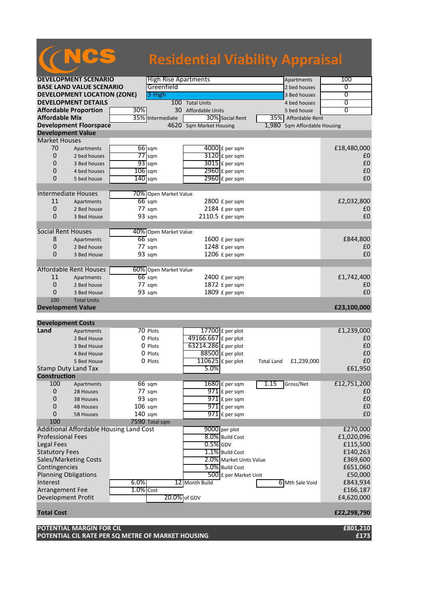|                             |                                         |                  |                             |                         | <b>Residential Viability Appraisal</b> |                |
|-----------------------------|-----------------------------------------|------------------|-----------------------------|-------------------------|----------------------------------------|----------------|
|                             | <b>DEVELOPMENT SCENARIO</b>             |                  | <b>High Rise Apartments</b> |                         | Apartments                             | 100            |
|                             | <b>BASE LAND VALUE SCENARIO</b>         |                  | Greenfield                  |                         | 2 bed houses                           | 0              |
|                             | <b>DEVELOPMENT LOCATION (ZONE)</b>      |                  | 3 High                      |                         | 3 Bed houses                           | 0              |
|                             | <b>DEVELOPMENT DETAILS</b>              |                  |                             | 100 Total Units         | 4 bed houses                           | 0              |
|                             | <b>Affordable Proportion</b>            | 30%              |                             | 30 Affordable Units     |                                        | $\overline{0}$ |
| <b>Affordable Mix</b>       |                                         | 35%              |                             | 30% Social Rent         | 5 bed house                            |                |
|                             |                                         |                  | Intermediate                |                         | 35% Affordable Rent                    |                |
|                             | <b>Development Floorspace</b>           |                  |                             | 4620 Sqm Market Housing | 1,980<br>Sqm Affordable Housing        |                |
| <b>Development Value</b>    |                                         |                  |                             |                         |                                        |                |
| <b>Market Houses</b>        |                                         |                  |                             |                         |                                        |                |
| 70                          | Apartments                              | $66$ sqm         |                             | $4000$ £ per sqm        |                                        | £18,480,000    |
| 0                           | 2 bed houses                            | $77$ sqm         |                             | 3120 £ per sqm          |                                        | £0             |
| $\Omega$                    | 3 Bed houses                            | $93$ sqm         |                             | $3015$ £ per sqm        |                                        | £0             |
| 0                           | 4 bed houses                            | $106$ sqm        |                             | 2960 £ per sqm          |                                        | £0             |
| $\Omega$                    | 5 bed house                             | $140$ sqm        |                             | $2960$ £ per sqm        |                                        | £0             |
|                             |                                         |                  |                             |                         |                                        |                |
| <b>Intermediate Houses</b>  |                                         |                  | 70% Open Market Value       |                         |                                        |                |
| 11                          | Apartments                              | $66$ sqm         |                             | $2800$ £ per sqm        |                                        | £2,032,800     |
| 0                           | 2 Bed house                             | 77 sqm           |                             | 2184 £ per sqm          |                                        | £0             |
| $\Omega$                    | 3 Bed House                             | 93 sqm           |                             | 2110.5 £ per sqm        |                                        | £0             |
|                             |                                         |                  |                             |                         |                                        |                |
| <b>Social Rent Houses</b>   |                                         |                  | 40% Open Market Value       |                         |                                        |                |
| 8                           | Apartments                              | $66$ sqm         |                             | $1600$ £ per sqm        |                                        | £844,800       |
| 0                           | 2 Bed house                             | 77 sqm           |                             | 1248 £ per sqm          |                                        | £0             |
| $\overline{0}$              | 3 Bed House                             | 93 sqm           |                             | 1206 £ per sqm          |                                        | £0             |
|                             |                                         |                  |                             |                         |                                        |                |
|                             | <b>Affordable Rent Houses</b>           |                  | 60% Open Market Value       |                         |                                        |                |
| 11                          | Apartments                              | $66$ sqm         |                             | $2400$ £ per sqm        |                                        | £1,742,400     |
| $\overline{0}$              | 2 Bed house                             | $77 \text{ sqm}$ |                             | 1872 £ per sqm          |                                        | £0             |
| $\Omega$                    | 3 Bed House                             | 93 sqm           |                             | 1809 £ per sqm          |                                        | £0             |
| 100                         | <b>Total Units</b>                      |                  |                             |                         |                                        |                |
| <b>Development Value</b>    |                                         |                  |                             |                         |                                        | £23,100,000    |
|                             |                                         |                  |                             |                         |                                        |                |
| <b>Development Costs</b>    |                                         |                  |                             |                         |                                        |                |
| Land                        | Apartments                              | 70 Plots         |                             | $17700$ £ per plot      |                                        | £1,239,000     |
|                             | 2 Bed House                             |                  | 0 Plots                     | 49166.667 £ per plot    |                                        | £0             |
|                             | 3 Bed House                             |                  | 0 Plots                     | 63214.286 £ per plot    |                                        | £0             |
|                             | 4 Bed House                             |                  | 0 Plots                     | $88500$ £ per plot      |                                        | £0             |
|                             | 5 Bed House                             |                  | 0 Plots                     | $110625$ £ per plot     | £1,239,000<br><b>Total Land</b>        | £0             |
| Stamp Duty Land Tax         |                                         |                  |                             | 5.0%                    |                                        | £61,950        |
| <b>Construction</b>         |                                         |                  |                             |                         |                                        |                |
| 100                         | Apartments                              | 66 sqm           |                             | $1680$ $E$ per sqm      | 1.15<br>Gross/Net                      | £12,751,200    |
| 0                           | 2B Houses                               | 77 sqm           |                             | $971$ $E$ per sqm       |                                        | £0             |
| 0                           | <b>3B Houses</b>                        | 93 sqm           |                             | $971$ $E$ per sqm       |                                        | £0             |
| $\mathbf 0$                 | <b>4B Houses</b>                        | $106$ sqm        |                             | $971$ $E$ per sqm       |                                        | £0             |
| 0                           | <b>5B Houses</b>                        | $140$ sqm        |                             | $971$ $E$ per sqm       |                                        | £0             |
| 100                         |                                         |                  | 7590 Total sqm              |                         |                                        |                |
|                             | Additional Affordable Housing Land Cost |                  |                             | 9000 per plot           |                                        | £270,000       |
| <b>Professional Fees</b>    |                                         |                  |                             | 8.0% Build Cost         |                                        | £1,020,096     |
| Legal Fees                  |                                         |                  |                             | $0.5\%$ GDV             |                                        | £115,500       |
| <b>Statutory Fees</b>       |                                         |                  |                             | 1.1% Build Cost         |                                        | £140,263       |
|                             | Sales/Marketing Costs                   |                  |                             | 2.0% Market Units Value |                                        | £369,600       |
| Contingencies               |                                         |                  |                             | 5.0% Build Cost         |                                        | £651,060       |
| <b>Planning Obligations</b> |                                         |                  |                             | 500 £ per Market Unit   |                                        | £50,000        |
| Interest                    |                                         | 6.0%             |                             | 12 Month Build          |                                        |                |
|                             |                                         | $1.0\%$ Cost     |                             |                         | 6 Mth Sale Void                        | £843,934       |
| Arrangement Fee             |                                         |                  |                             |                         |                                        | £166,187       |
| <b>Development Profit</b>   |                                         |                  | 20.0% of GDV                |                         |                                        | £4,620,000     |
| <b>Total Cost</b>           |                                         |                  |                             |                         |                                        | £22,298,790    |

**POTENTIAL MARGIN FOR CIL £801,210 POTENTIAL CIL RATE PER SQ METRE OF MARKET HOUSING £173**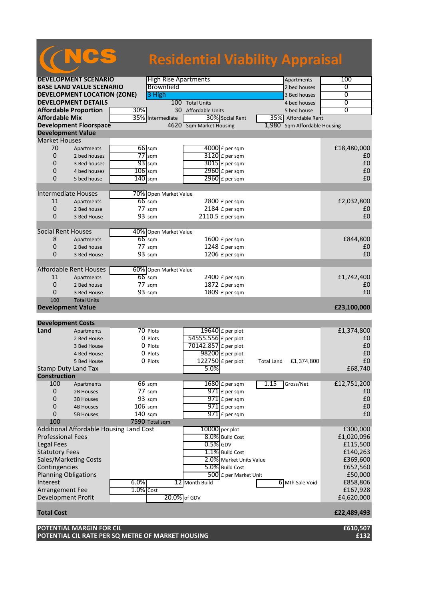|                                  |                                         |                  |                             | <b>Residential Viability Appraisal</b> |                       |                        |
|----------------------------------|-----------------------------------------|------------------|-----------------------------|----------------------------------------|-----------------------|------------------------|
|                                  | <b>DEVELOPMENT SCENARIO</b>             |                  | <b>High Rise Apartments</b> |                                        | Apartments            | 100                    |
|                                  | <b>BASE LAND VALUE SCENARIO</b>         |                  | Brownfield                  |                                        | 2 bed houses          | 0                      |
|                                  | <b>DEVELOPMENT LOCATION (ZONE)</b>      |                  | 3 High                      |                                        | 3 Bed houses          | $\overline{0}$         |
|                                  | <b>DEVELOPMENT DETAILS</b>              |                  |                             | 100 Total Units                        | 4 bed houses          | 0                      |
|                                  | <b>Affordable Proportion</b>            | 30%              |                             | 30 Affordable Units                    | 5 bed house           | $\overline{0}$         |
| <b>Affordable Mix</b>            |                                         | 35%              | Intermediate                | 30% Social Rent                        | 35% Affordable Rent   |                        |
|                                  | <b>Development Floorspace</b>           |                  |                             | 4620 Sqm Market Housing                | 1.980                 | Sqm Affordable Housing |
| <b>Development Value</b>         |                                         |                  |                             |                                        |                       |                        |
| <b>Market Houses</b>             |                                         |                  |                             |                                        |                       |                        |
| 70                               | Apartments                              | $66$ sqm         |                             | $4000$ £ per sqm                       |                       | £18,480,000            |
| 0                                | 2 bed houses                            | $77$ sqm         |                             | 3120 £ per sqm                         |                       | £0                     |
| $\Omega$                         | 3 Bed houses                            | $93$ sqm         |                             | $3015$ £ per sqm                       |                       | £0                     |
| 0                                | 4 bed houses                            | $106$ sqm        |                             | 2960 £ per sqm                         |                       | £0                     |
| $\Omega$                         | 5 bed house                             | $140$ sqm        |                             | $2960$ £ per sqm                       |                       | £0                     |
|                                  |                                         |                  |                             |                                        |                       |                        |
|                                  | <b>Intermediate Houses</b>              |                  | 70% Open Market Value       |                                        |                       |                        |
| 11                               | Apartments                              | $66$ sqm         |                             | 2800 £ per sqm                         |                       | £2,032,800             |
| 0                                | 2 Bed house                             | $77 \text{ sqm}$ |                             | 2184 £ per sqm                         |                       | £0                     |
| $\Omega$                         | 3 Bed House                             | 93 sqm           |                             | 2110.5 £ per sqm                       |                       | £0                     |
|                                  |                                         |                  |                             |                                        |                       |                        |
| <b>Social Rent Houses</b>        |                                         |                  | 40% Open Market Value       |                                        |                       |                        |
| 8                                | Apartments                              | $66$ sqm         |                             | 1600 £ per sqm                         |                       | £844,800               |
| 0                                | 2 Bed house                             | 77 sqm           |                             | 1248 £ per sqm                         |                       | £0                     |
| 0                                | 3 Bed House                             | 93 sqm           |                             | 1206 £ per sqm                         |                       | £0                     |
|                                  |                                         |                  |                             |                                        |                       |                        |
|                                  | <b>Affordable Rent Houses</b>           |                  | 60% Open Market Value       |                                        |                       |                        |
| 11                               | Apartments                              | $66$ sqm         |                             | $2400$ £ per sqm                       |                       | £1,742,400             |
| $\mathbf{0}$                     | 2 Bed house                             | $77 \text{ sqm}$ |                             | 1872 £ per sqm                         |                       | £0                     |
| $\Omega$                         | 3 Bed House                             | 93 sqm           |                             | 1809 £ per sqm                         |                       | £0                     |
| 100                              | <b>Total Units</b>                      |                  |                             |                                        |                       |                        |
| <b>Development Value</b>         |                                         |                  |                             |                                        |                       | £23,100,000            |
|                                  |                                         |                  |                             |                                        |                       |                        |
| <b>Development Costs</b><br>Land |                                         |                  | 70 Plots                    | 19640 £ per plot                       |                       |                        |
|                                  | Apartments<br>2 Bed House               |                  | 0 Plots                     | 54555.556 £ per plot                   |                       | £1,374,800<br>£0       |
|                                  | 3 Bed House                             |                  | 0 Plots                     | 70142.857 £ per plot                   |                       | £0                     |
|                                  | 4 Bed House                             |                  | 0 Plots                     | $98200$ £ per plot                     |                       | £0                     |
|                                  | 5 Bed House                             |                  | 0 Plots                     | $122750$ £ per plot                    | Total Land £1,374,800 | $\pmb{\text{f0}}$      |
|                                  | Stamp Duty Land Tax                     |                  |                             | 5.0%                                   |                       | £68,740                |
| <b>Construction</b>              |                                         |                  |                             |                                        |                       |                        |
| 100                              | Apartments                              | 66 sqm           |                             | $1680$ £ per sqm                       | 1.15<br>Gross/Net     | £12,751,200            |
| $\boldsymbol{0}$                 | 2B Houses                               | 77 sqm           |                             | $971$ $E$ per sqm                      |                       | £0                     |
| 0                                | <b>3B Houses</b>                        | 93 sqm           |                             | $971$ $E$ per sqm                      |                       | £0                     |
| $\mathbf 0$                      | <b>4B Houses</b>                        | $106$ sqm        |                             | $971$ $E$ per sqm                      |                       | £0                     |
| 0                                | <b>5B Houses</b>                        | $140$ sqm        |                             | $971$ $E$ per sqm                      |                       | £0                     |
| 100                              |                                         |                  | 7590 Total sqm              |                                        |                       |                        |
|                                  | Additional Affordable Housing Land Cost |                  |                             | 10000 per plot                         |                       | £300,000               |
| <b>Professional Fees</b>         |                                         |                  |                             | 8.0% Build Cost                        |                       | £1,020,096             |
| Legal Fees                       |                                         |                  |                             | $0.5\%$ GDV                            |                       | £115,500               |
| <b>Statutory Fees</b>            |                                         |                  |                             | 1.1% Build Cost                        |                       | £140,263               |
|                                  | Sales/Marketing Costs                   |                  |                             | 2.0% Market Units Value                |                       | £369,600               |
| Contingencies                    |                                         |                  |                             | 5.0% Build Cost                        |                       | £652,560               |
| <b>Planning Obligations</b>      |                                         |                  |                             | 500 £ per Market Unit                  |                       | £50,000                |
| Interest                         |                                         | 6.0%             |                             | 12 Month Build                         | 6 Mth Sale Void       | £858,806               |
| Arrangement Fee                  |                                         | $1.0\%$ Cost     |                             |                                        |                       | £167,928               |
| <b>Development Profit</b>        |                                         |                  | 20.0% of GDV                |                                        |                       | £4,620,000             |
|                                  |                                         |                  |                             |                                        |                       |                        |
| <b>Total Cost</b>                |                                         |                  |                             |                                        |                       | £22,489,493            |

**POTENTIAL MARGIN FOR CIL £610,507 POTENTIAL CIL RATE PER SQ METRE OF MARKET HOUSING £132**